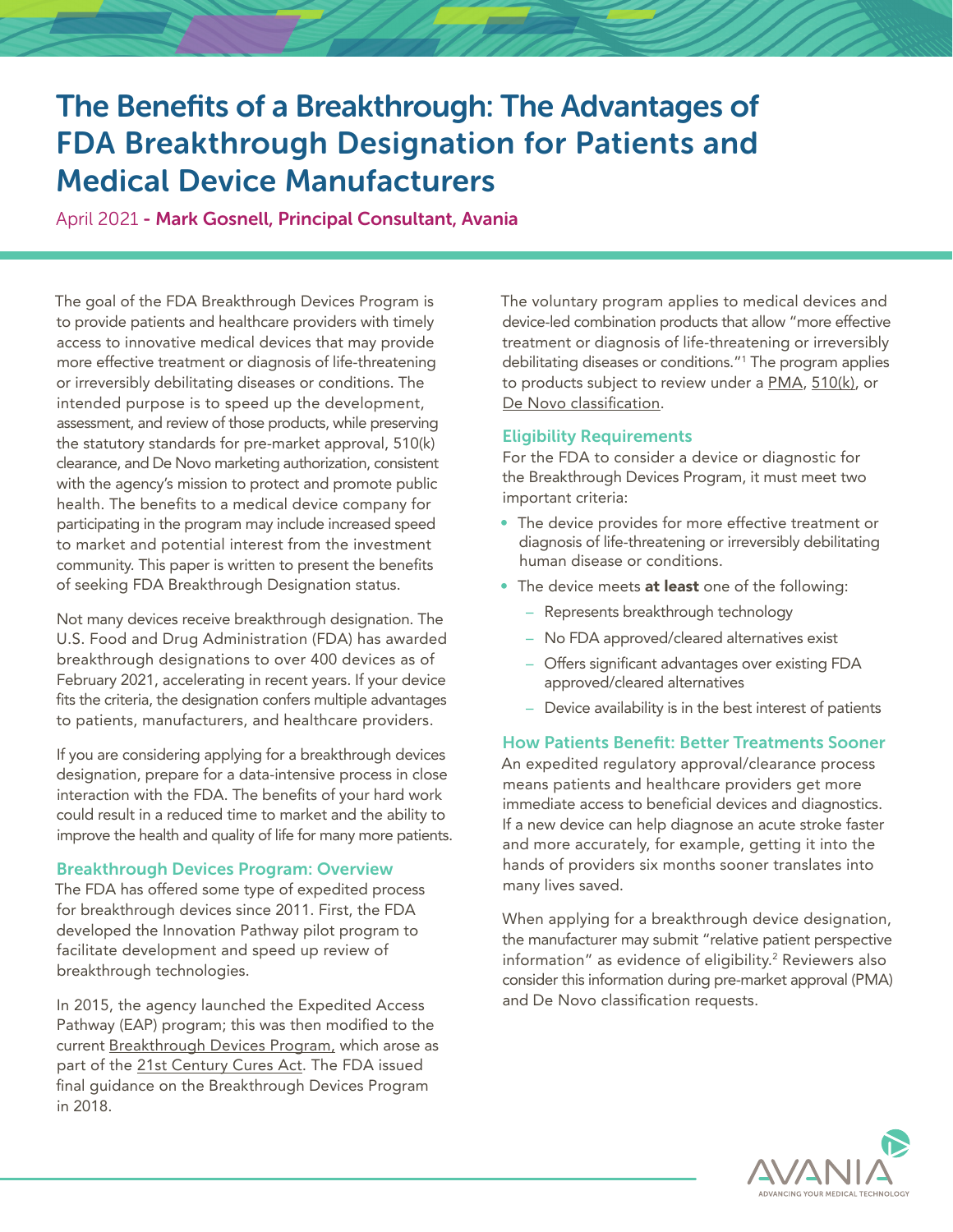# The Benefits of a Breakthrough: The Advantages of FDA Breakthrough Designation for Patients and Medical Device Manufacturers

April 2021 - Mark Gosnell, Principal Consultant, Avania

The goal of the FDA Breakthrough Devices Program is to provide patients and healthcare providers with timely access to innovative medical devices that may provide more effective treatment or diagnosis of life-threatening or irreversibly debilitating diseases or conditions. The intended purpose is to speed up the development, assessment, and review of those products, while preserving the statutory standards for pre-market approval, 510(k) clearance, and De Novo marketing authorization, consistent with the agency's mission to protect and promote public health. The benefits to a medical device company for participating in the program may include increased speed to market and potential interest from the investment community. This paper is written to present the benefits of seeking FDA Breakthrough Designation status.

Not many devices receive breakthrough designation. The U.S. Food and Drug Administration (FDA) has awarded breakthrough designations to over 400 devices as of February 2021, accelerating in recent years. If your device fits the criteria, the designation confers multiple advantages to patients, manufacturers, and healthcare providers.

If you are considering applying for a breakthrough devices designation, prepare for a data-intensive process in close interaction with the FDA. The benefits of your hard work could result in a reduced time to market and the ability to improve the health and quality of life for many more patients.

# Breakthrough Devices Program: Overview

The FDA has offered some type of expedited process for breakthrough devices since 2011. First, the FDA developed the Innovation Pathway pilot program to facilitate development and speed up review of breakthrough technologies.

In 2015, the agency launched the Expedited Access Pathway (EAP) program; this was then modified to the current Breakthrough Devices Program, which arose as part of the 21st Century Cures Act. The FDA issued final guidance on the Breakthrough Devices Program in 2018.

The voluntary program applies to medical devices and device-led combination products that allow "more effective treatment or diagnosis of life-threatening or irreversibly debilitating diseases or conditions."1 The program applies to products subject to review under a PMA, 510(k), or De Novo classification.

# Eligibility Requirements

For the FDA to consider a device or diagnostic for the Breakthrough Devices Program, it must meet two important criteria:

- The device provides for more effective treatment or diagnosis of life-threatening or irreversibly debilitating human disease or conditions.
- The device meets at least one of the following:
	- Represents breakthrough technology
	- No FDA approved/cleared alternatives exist
	- Offers significant advantages over existing FDA approved/cleared alternatives
	- Device availability is in the best interest of patients

# How Patients Benefit: Better Treatments Sooner

An expedited regulatory approval/clearance process means patients and healthcare providers get more immediate access to beneficial devices and diagnostics. If a new device can help diagnose an acute stroke faster and more accurately, for example, getting it into the hands of providers six months sooner translates into many lives saved.

When applying for a breakthrough device designation, the manufacturer may submit "relative patient perspective information" as evidence of eligibility.2 Reviewers also consider this information during pre-market approval (PMA) and De Novo classification requests.

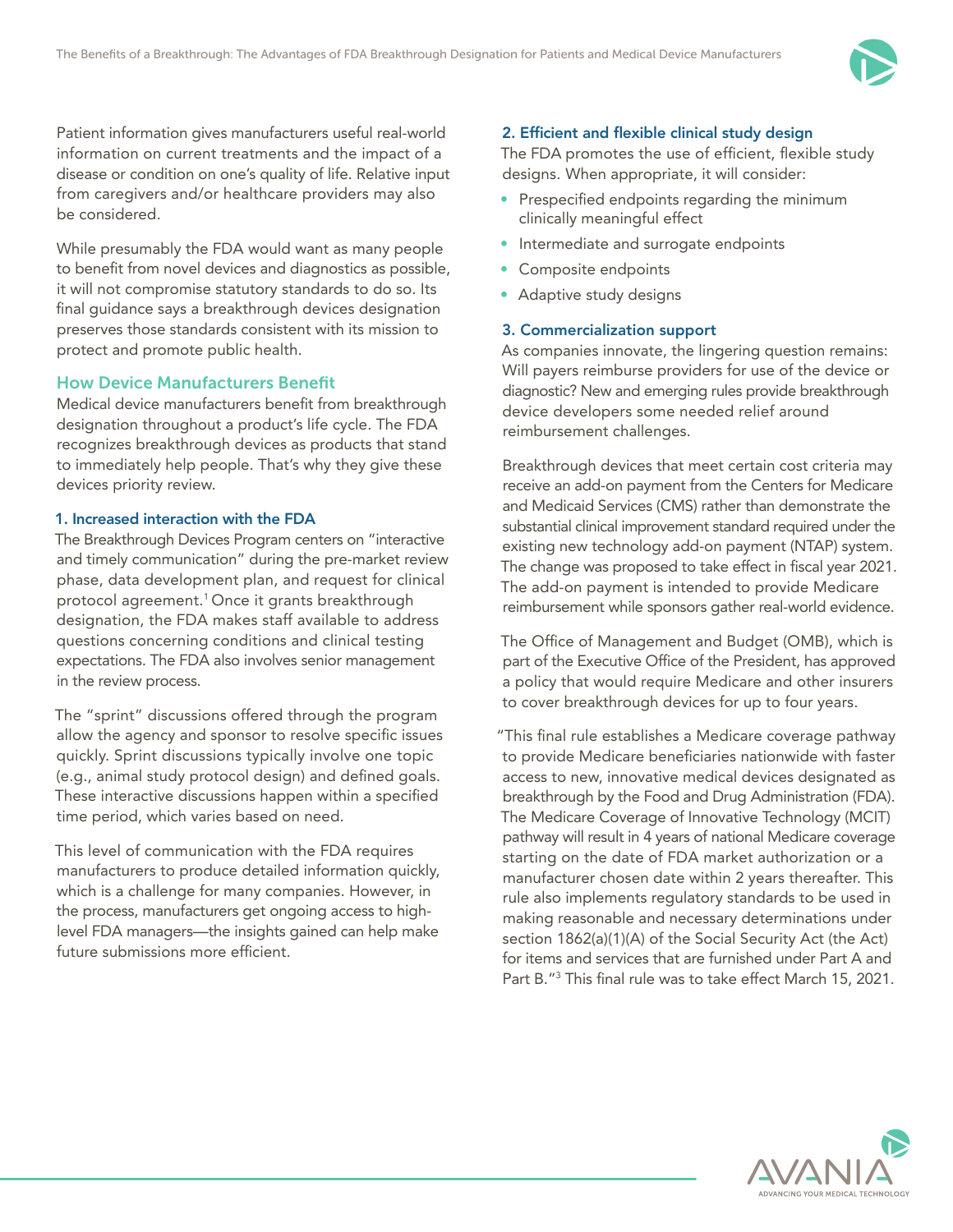

Patient information gives manufacturers useful real-world information on current treatments and the impact of a disease or condition on one's quality of life. Relative input from caregivers and/or healthcare providers may also be considered.

While presumably the FDA would want as many people to benefit from novel devices and diagnostics as possible, it will not compromise statutory standards to do so. Its final guidance says a breakthrough devices designation preserves those standards consistent with its mission to protect and promote public health.

### How Device Manufacturers Benefit

Medical device manufacturers benefit from breakthrough designation throughout a product's life cycle. The FDA recognizes breakthrough devices as products that stand to immediately help people. That's why they give these devices priority review.

#### 1. Increased interaction with the FDA

The Breakthrough Devices Program centers on "interactive and timely communication" during the pre-market review phase, data development plan, and request for clinical protocol agreement.<sup>1</sup> Once it grants breakthrough designation, the FDA makes staff available to address questions concerning conditions and clinical testing expectations. The FDA also involves senior management in the review process.

The "sprint" discussions offered through the program allow the agency and sponsor to resolve specific issues quickly. Sprint discussions typically involve one topic (e.g., animal study protocol design) and defined goals. These interactive discussions happen within a specified time period, which varies based on need.

This level of communication with the FDA requires manufacturers to produce detailed information quickly, which is a challenge for many companies. However, in the process, manufacturers get ongoing access to highlevel FDA managers—the insights gained can help make future submissions more efficient.

#### 2. Efficient and flexible clinical study design

The FDA promotes the use of efficient, flexible study designs. When appropriate, it will consider:

- Prespecified endpoints regarding the minimum clinically meaningful effect
- Intermediate and surrogate endpoints
- Composite endpoints
- Adaptive study designs

### 3. Commercialization support

As companies innovate, the lingering question remains: Will payers reimburse providers for use of the device or diagnostic? New and emerging rules provide breakthrough device developers some needed relief around reimbursement challenges.

Breakthrough devices that meet certain cost criteria may receive an add-on payment from the Centers for Medicare and Medicaid Services (CMS) rather than demonstrate the substantial clinical improvement standard required under the existing new technology add-on payment (NTAP) system. The change was proposed to take effect in fiscal year 2021. The add-on payment is intended to provide Medicare reimbursement while sponsors gather real-world evidence.

The Office of Management and Budget (OMB), which is part of the Executive Office of the President, has approved a policy that would require Medicare and other insurers to cover breakthrough devices for up to four years.

"This final rule establishes a Medicare coverage pathway to provide Medicare beneficiaries nationwide with faster access to new, innovative medical devices designated as breakthrough by the Food and Drug Administration (FDA). The Medicare Coverage of Innovative Technology (MCIT) pathway will result in 4 years of national Medicare coverage starting on the date of FDA market authorization or a manufacturer chosen date within 2 years thereafter. This rule also implements regulatory standards to be used in making reasonable and necessary determinations under section 1862(a)(1)(A) of the Social Security Act (the Act) for items and services that are furnished under Part A and Part B."3 This final rule was to take effect March 15, 2021.

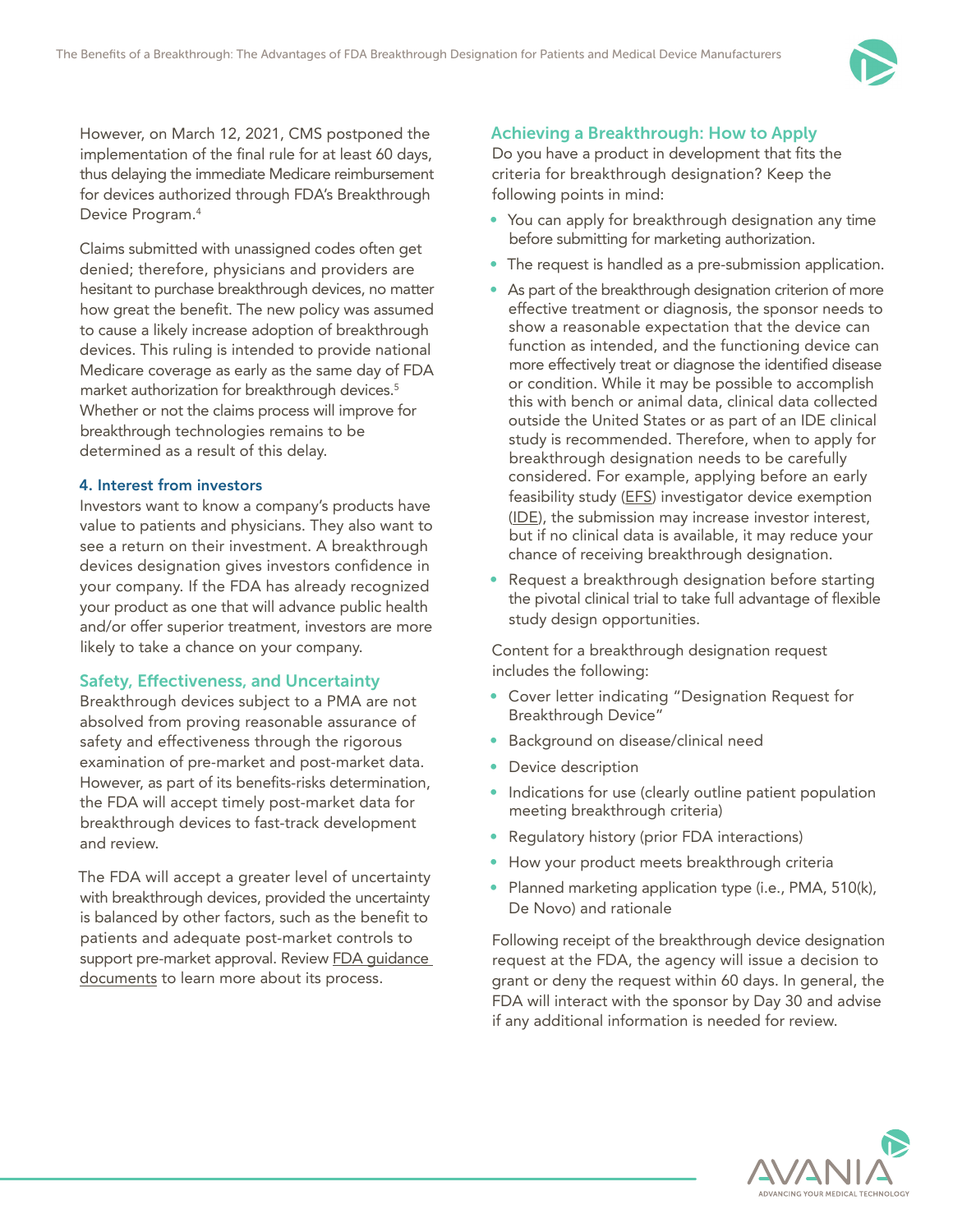

However, on March 12, 2021, CMS postponed the implementation of the final rule for at least 60 days, thus delaying the immediate Medicare reimbursement for devices authorized through FDA's Breakthrough Device Program.4

Claims submitted with unassigned codes often get denied; therefore, physicians and providers are hesitant to purchase breakthrough devices, no matter how great the benefit. The new policy was assumed to cause a likely increase adoption of breakthrough devices. This ruling is intended to provide national Medicare coverage as early as the same day of FDA market authorization for breakthrough devices.<sup>5</sup> Whether or not the claims process will improve for breakthrough technologies remains to be determined as a result of this delay.

#### 4. Interest from investors

Investors want to know a company's products have value to patients and physicians. They also want to see a return on their investment. A breakthrough devices designation gives investors confidence in your company. If the FDA has already recognized your product as one that will advance public health and/or offer superior treatment, investors are more likely to take a chance on your company.

# Safety, Effectiveness, and Uncertainty

Breakthrough devices subject to a PMA are not absolved from proving reasonable assurance of safety and effectiveness through the rigorous examination of pre-market and post-market data. However, as part of its benefits-risks determination, the FDA will accept timely post-market data for breakthrough devices to fast-track development and review.

The FDA will accept a greater level of uncertainty with breakthrough devices, provided the uncertainty is balanced by other factors, such as the benefit to patients and adequate post-market controls to support pre-market approval. Review FDA quidance documents to learn more about its process.

# Achieving a Breakthrough: How to Apply

Do you have a product in development that fits the criteria for breakthrough designation? Keep the following points in mind:

- You can apply for breakthrough designation any time before submitting for marketing authorization.
- The request is handled as a pre-submission application.
- As part of the breakthrough designation criterion of more effective treatment or diagnosis, the sponsor needs to show a reasonable expectation that the device can function as intended, and the functioning device can more effectively treat or diagnose the identified disease or condition. While it may be possible to accomplish this with bench or animal data, clinical data collected outside the United States or as part of an IDE clinical study is recommended. Therefore, when to apply for breakthrough designation needs to be carefully considered. For example, applying before an early feasibility study (EFS) investigator device exemption (IDE), the submission may increase investor interest, but if no clinical data is available, it may reduce your chance of receiving breakthrough designation.
- Request a breakthrough designation before starting the pivotal clinical trial to take full advantage of flexible study design opportunities.

Content for a breakthrough designation request includes the following:

- Cover letter indicating "Designation Request for Breakthrough Device"
- Background on disease/clinical need
- Device description
- Indications for use (clearly outline patient population meeting breakthrough criteria)
- Regulatory history (prior FDA interactions)
- How your product meets breakthrough criteria
- Planned marketing application type (i.e., PMA, 510(k), De Novo) and rationale

Following receipt of the breakthrough device designation request at the FDA, the agency will issue a decision to grant or deny the request within 60 days. In general, the FDA will interact with the sponsor by Day 30 and advise if any additional information is needed for review.